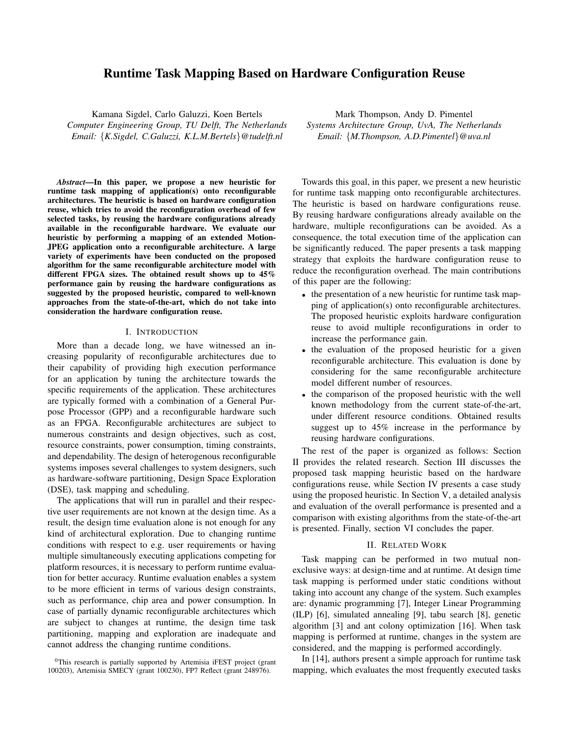# Runtime Task Mapping Based on Hardware Configuration Reuse

Kamana Sigdel, Carlo Galuzzi, Koen Bertels *Computer Engineering Group, TU Delft, The Netherlands Email:* {*K.Sigdel, C.Galuzzi, K.L.M.Bertels*}*@tudelft.nl*

*Abstract*—In this paper, we propose a new heuristic for runtime task mapping of application(s) onto reconfigurable architectures. The heuristic is based on hardware configuration reuse, which tries to avoid the reconfiguration overhead of few selected tasks, by reusing the hardware configurations already available in the reconfigurable hardware. We evaluate our heuristic by performing a mapping of an extended Motion-JPEG application onto a reconfigurable architecture. A large variety of experiments have been conducted on the proposed algorithm for the same reconfigurable architecture model with different FPGA sizes. The obtained result shows up to 45% performance gain by reusing the hardware configurations as suggested by the proposed heuristic, compared to well-known approaches from the state-of-the-art, which do not take into consideration the hardware configuration reuse.

# I. INTRODUCTION

More than a decade long, we have witnessed an increasing popularity of reconfigurable architectures due to their capability of providing high execution performance for an application by tuning the architecture towards the specific requirements of the application. These architectures are typically formed with a combination of a General Purpose Processor (GPP) and a reconfigurable hardware such as an FPGA. Reconfigurable architectures are subject to numerous constraints and design objectives, such as cost, resource constraints, power consumption, timing constraints, and dependability. The design of heterogenous reconfigurable systems imposes several challenges to system designers, such as hardware-software partitioning, Design Space Exploration (DSE), task mapping and scheduling.

The applications that will run in parallel and their respective user requirements are not known at the design time. As a result, the design time evaluation alone is not enough for any kind of architectural exploration. Due to changing runtime conditions with respect to e.g. user requirements or having multiple simultaneously executing applications competing for platform resources, it is necessary to perform runtime evaluation for better accuracy. Runtime evaluation enables a system to be more efficient in terms of various design constraints, such as performance, chip area and power consumption. In case of partially dynamic reconfigurable architectures which are subject to changes at runtime, the design time task partitioning, mapping and exploration are inadequate and cannot address the changing runtime conditions.

Mark Thompson, Andy D. Pimentel *Systems Architecture Group, UvA, The Netherlands Email:* {*M.Thompson, A.D.Pimentel*}*@uva.nl*

Towards this goal, in this paper, we present a new heuristic for runtime task mapping onto reconfigurable architectures. The heuristic is based on hardware configurations reuse. By reusing hardware configurations already available on the hardware, multiple reconfigurations can be avoided. As a consequence, the total execution time of the application can be significantly reduced. The paper presents a task mapping strategy that exploits the hardware configuration reuse to reduce the reconfiguration overhead. The main contributions of this paper are the following:

- the presentation of a new heuristic for runtime task mapping of application(s) onto reconfigurable architectures. The proposed heuristic exploits hardware configuration reuse to avoid multiple reconfigurations in order to increase the performance gain.
- the evaluation of the proposed heuristic for a given reconfigurable architecture. This evaluation is done by considering for the same reconfigurable architecture model different number of resources.
- the comparison of the proposed heuristic with the well known methodology from the current state-of-the-art, under different resource conditions. Obtained results suggest up to 45% increase in the performance by reusing hardware configurations.

The rest of the paper is organized as follows: Section II provides the related research. Section III discusses the proposed task mapping heuristic based on the hardware configurations reuse, while Section IV presents a case study using the proposed heuristic. In Section V, a detailed analysis and evaluation of the overall performance is presented and a comparison with existing algorithms from the state-of-the-art is presented. Finally, section VI concludes the paper.

## II. RELATED WORK

Task mapping can be performed in two mutual nonexclusive ways: at design-time and at runtime. At design time task mapping is performed under static conditions without taking into account any change of the system. Such examples are: dynamic programming [7], Integer Linear Programming (ILP) [6], simulated annealing [9], tabu search [8], genetic algorithm [3] and ant colony optimization [16]. When task mapping is performed at runtime, changes in the system are considered, and the mapping is performed accordingly.

In [14], authors present a simple approach for runtime task mapping, which evaluates the most frequently executed tasks

 $0$ This research is partially supported by Artemisia iFEST project (grant 100203), Artemisia SMECY (grant 100230), FP7 Reflect (grant 248976).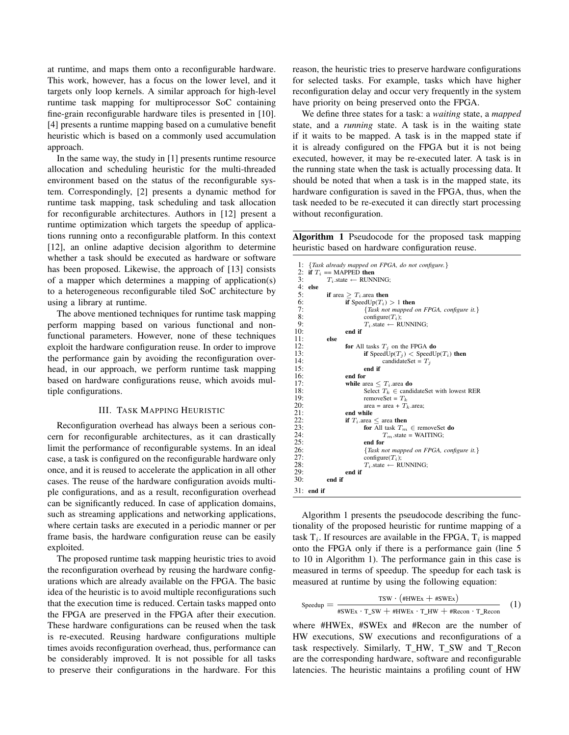at runtime, and maps them onto a reconfigurable hardware. This work, however, has a focus on the lower level, and it targets only loop kernels. A similar approach for high-level runtime task mapping for multiprocessor SoC containing fine-grain reconfigurable hardware tiles is presented in [10]. [4] presents a runtime mapping based on a cumulative benefit heuristic which is based on a commonly used accumulation approach.

In the same way, the study in [1] presents runtime resource allocation and scheduling heuristic for the multi-threaded environment based on the status of the reconfigurable system. Correspondingly, [2] presents a dynamic method for runtime task mapping, task scheduling and task allocation for reconfigurable architectures. Authors in [12] present a runtime optimization which targets the speedup of applications running onto a reconfigurable platform. In this context [12], an online adaptive decision algorithm to determine whether a task should be executed as hardware or software has been proposed. Likewise, the approach of [13] consists of a mapper which determines a mapping of application(s) to a heterogeneous reconfigurable tiled SoC architecture by using a library at runtime.

The above mentioned techniques for runtime task mapping perform mapping based on various functional and nonfunctional parameters. However, none of these techniques exploit the hardware configuration reuse. In order to improve the performance gain by avoiding the reconfiguration overhead, in our approach, we perform runtime task mapping based on hardware configurations reuse, which avoids multiple configurations.

## III. TASK MAPPING HEURISTIC

Reconfiguration overhead has always been a serious concern for reconfigurable architectures, as it can drastically limit the performance of reconfigurable systems. In an ideal case, a task is configured on the reconfigurable hardware only once, and it is reused to accelerate the application in all other cases. The reuse of the hardware configuration avoids multiple configurations, and as a result, reconfiguration overhead can be significantly reduced. In case of application domains, such as streaming applications and networking applications, where certain tasks are executed in a periodic manner or per frame basis, the hardware configuration reuse can be easily exploited.

The proposed runtime task mapping heuristic tries to avoid the reconfiguration overhead by reusing the hardware configurations which are already available on the FPGA. The basic idea of the heuristic is to avoid multiple reconfigurations such that the execution time is reduced. Certain tasks mapped onto the FPGA are preserved in the FPGA after their execution. These hardware configurations can be reused when the task is re-executed. Reusing hardware configurations multiple times avoids reconfiguration overhead, thus, performance can be considerably improved. It is not possible for all tasks to preserve their configurations in the hardware. For this reason, the heuristic tries to preserve hardware configurations for selected tasks. For example, tasks which have higher reconfiguration delay and occur very frequently in the system have priority on being preserved onto the FPGA.

We define three states for a task: a *waiting* state, a *mapped* state, and a *running* state. A task is in the waiting state if it waits to be mapped. A task is in the mapped state if it is already configured on the FPGA but it is not being executed, however, it may be re-executed later. A task is in the running state when the task is actually processing data. It should be noted that when a task is in the mapped state, its hardware configuration is saved in the FPGA, thus, when the task needed to be re-executed it can directly start processing without reconfiguration.

Algorithm 1 Pseudocode for the proposed task mapping heuristic based on hardware configuration reuse.

| ŀ.  | {Task already mapped on FPGA, do not configure.} |  |  |  |  |  |  |  |
|-----|--------------------------------------------------|--|--|--|--|--|--|--|
| 2:  | if $T_i$ = MAPPED then                           |  |  |  |  |  |  |  |
| 3:  | $T_i$ state $\leftarrow$ RUNNING;                |  |  |  |  |  |  |  |
| 4:  | else                                             |  |  |  |  |  |  |  |
| 5:  | <b>if</b> area $\geq T_i$ area then              |  |  |  |  |  |  |  |
| 6:  | if SpeedUp( $T_i$ ) > 1 then                     |  |  |  |  |  |  |  |
| 7:  | {Task not mapped on FPGA, configure it.}         |  |  |  |  |  |  |  |
| 8:  | configure $(T_i)$ ;                              |  |  |  |  |  |  |  |
| 9:  | $T_i$ state $\leftarrow$ RUNNING;                |  |  |  |  |  |  |  |
| 10: | end if                                           |  |  |  |  |  |  |  |
| 11: | else                                             |  |  |  |  |  |  |  |
| 12: | for All tasks $T_i$ on the FPGA do               |  |  |  |  |  |  |  |
| 13: | if SpeedUp( $T_i$ ) < SpeedUp( $T_i$ ) then      |  |  |  |  |  |  |  |
| 14: | candidateSet = $T_i$                             |  |  |  |  |  |  |  |
| 15: | end if                                           |  |  |  |  |  |  |  |
| 16: | end for                                          |  |  |  |  |  |  |  |
| 17: | while area $\leq T_i$ area do                    |  |  |  |  |  |  |  |
| 18: | Select $T_k \in$ candidateSet with lowest RER    |  |  |  |  |  |  |  |
| 19: | removeSet = $T_k$                                |  |  |  |  |  |  |  |
| 20: | area = area + $T_k$ .area;                       |  |  |  |  |  |  |  |
| 21: | end while                                        |  |  |  |  |  |  |  |
| 22: | <b>if</b> $T_i$ area $\leq$ area then            |  |  |  |  |  |  |  |
| 23: | for All task $T_m \in$ remove Set do             |  |  |  |  |  |  |  |
| 24: | $T_m$ state = WAITING;                           |  |  |  |  |  |  |  |
| 25: | end for                                          |  |  |  |  |  |  |  |
| 26: | {Task not mapped on FPGA, configure it.}         |  |  |  |  |  |  |  |
| 27: | configure $(T_i)$ ;                              |  |  |  |  |  |  |  |
| 28: | $T_i$ state $\leftarrow$ RUNNING;                |  |  |  |  |  |  |  |
| 29: | end if                                           |  |  |  |  |  |  |  |
| 30: | end if                                           |  |  |  |  |  |  |  |
|     | 31: end if                                       |  |  |  |  |  |  |  |
|     |                                                  |  |  |  |  |  |  |  |

Algorithm 1 presents the pseudocode describing the functionality of the proposed heuristic for runtime mapping of a task  $T_i$ . If resources are available in the FPGA,  $T_i$  is mapped onto the FPGA only if there is a performance gain (line 5 to 10 in Algorithm 1). The performance gain in this case is measured in terms of speedup. The speedup for each task is measured at runtime by using the following equation:

$$
Speedup = \frac{TSW \cdot (\#HWEx + #SWEx)}{\#SWEx \cdot T\_SW + #HWEx \cdot T_HW + #Recon \cdot T\_Recon}
$$
 (1)

where #HWEx, #SWEx and #Recon are the number of HW executions, SW executions and reconfigurations of a task respectively. Similarly, T\_HW, T\_SW and T\_Recon are the corresponding hardware, software and reconfigurable latencies. The heuristic maintains a profiling count of HW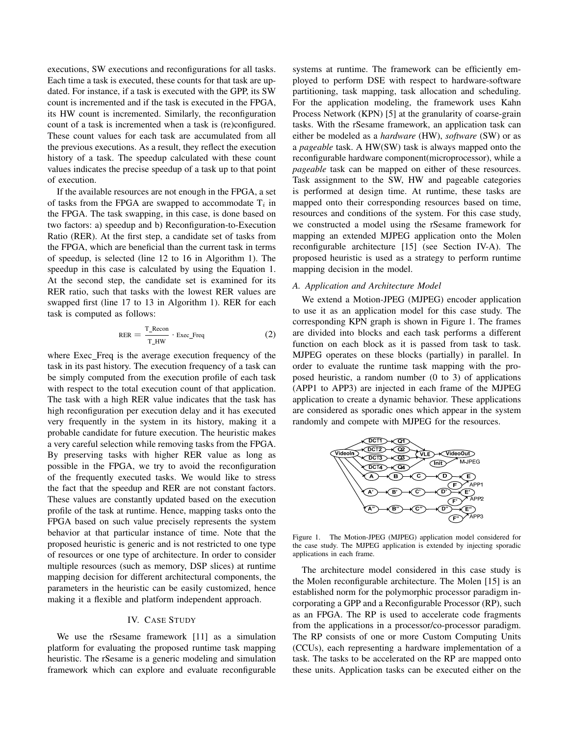executions, SW executions and reconfigurations for all tasks. Each time a task is executed, these counts for that task are updated. For instance, if a task is executed with the GPP, its SW count is incremented and if the task is executed in the FPGA, its HW count is incremented. Similarly, the reconfiguration count of a task is incremented when a task is (re)configured. These count values for each task are accumulated from all the previous executions. As a result, they reflect the execution history of a task. The speedup calculated with these count values indicates the precise speedup of a task up to that point of execution.

If the available resources are not enough in the FPGA, a set of tasks from the FPGA are swapped to accommodate  $T_i$  in the FPGA. The task swapping, in this case, is done based on two factors: a) speedup and b) Reconfiguration-to-Execution Ratio (RER). At the first step, a candidate set of tasks from the FPGA, which are beneficial than the current task in terms of speedup, is selected (line 12 to 16 in Algorithm 1). The speedup in this case is calculated by using the Equation 1. At the second step, the candidate set is examined for its RER ratio, such that tasks with the lowest RER values are swapped first (line 17 to 13 in Algorithm 1). RER for each task is computed as follows:

$$
RER = \frac{T\_Recon}{T\_HW} \cdot Exec\_Freq
$$
 (2)

where Exec Freq is the average execution frequency of the task in its past history. The execution frequency of a task can be simply computed from the execution profile of each task with respect to the total execution count of that application. The task with a high RER value indicates that the task has high reconfiguration per execution delay and it has executed very frequently in the system in its history, making it a probable candidate for future execution. The heuristic makes a very careful selection while removing tasks from the FPGA. By preserving tasks with higher RER value as long as possible in the FPGA, we try to avoid the reconfiguration of the frequently executed tasks. We would like to stress the fact that the speedup and RER are not constant factors. These values are constantly updated based on the execution profile of the task at runtime. Hence, mapping tasks onto the FPGA based on such value precisely represents the system behavior at that particular instance of time. Note that the proposed heuristic is generic and is not restricted to one type of resources or one type of architecture. In order to consider multiple resources (such as memory, DSP slices) at runtime mapping decision for different architectural components, the parameters in the heuristic can be easily customized, hence making it a flexible and platform independent approach.

#### IV. CASE STUDY

We use the rSesame framework [11] as a simulation platform for evaluating the proposed runtime task mapping heuristic. The rSesame is a generic modeling and simulation framework which can explore and evaluate reconfigurable systems at runtime. The framework can be efficiently employed to perform DSE with respect to hardware-software partitioning, task mapping, task allocation and scheduling. For the application modeling, the framework uses Kahn Process Network (KPN) [5] at the granularity of coarse-grain tasks. With the rSesame framework, an application task can either be modeled as a *hardware* (HW), *software* (SW) or as a *pageable* task. A HW(SW) task is always mapped onto the reconfigurable hardware component(microprocessor), while a *pageable* task can be mapped on either of these resources. Task assignment to the SW, HW and pageable categories is performed at design time. At runtime, these tasks are mapped onto their corresponding resources based on time, resources and conditions of the system. For this case study, we constructed a model using the rSesame framework for mapping an extended MJPEG application onto the Molen reconfigurable architecture [15] (see Section IV-A). The proposed heuristic is used as a strategy to perform runtime mapping decision in the model.

## *A. Application and Architecture Model*

We extend a Motion-JPEG (MJPEG) encoder application to use it as an application model for this case study. The corresponding KPN graph is shown in Figure 1. The frames are divided into blocks and each task performs a different function on each block as it is passed from task to task. MJPEG operates on these blocks (partially) in parallel. In order to evaluate the runtime task mapping with the proposed heuristic, a random number (0 to 3) of applications (APP1 to APP3) are injected in each frame of the MJPEG application to create a dynamic behavior. These applications are considered as sporadic ones which appear in the system randomly and compete with MJPEG for the resources.



Figure 1. The Motion-JPEG (MJPEG) application model considered for the case study. The MJPEG application is extended by injecting sporadic applications in each frame.

The architecture model considered in this case study is the Molen reconfigurable architecture. The Molen [15] is an established norm for the polymorphic processor paradigm incorporating a GPP and a Reconfigurable Processor (RP), such as an FPGA. The RP is used to accelerate code fragments from the applications in a processor/co-processor paradigm. The RP consists of one or more Custom Computing Units (CCUs), each representing a hardware implementation of a task. The tasks to be accelerated on the RP are mapped onto these units. Application tasks can be executed either on the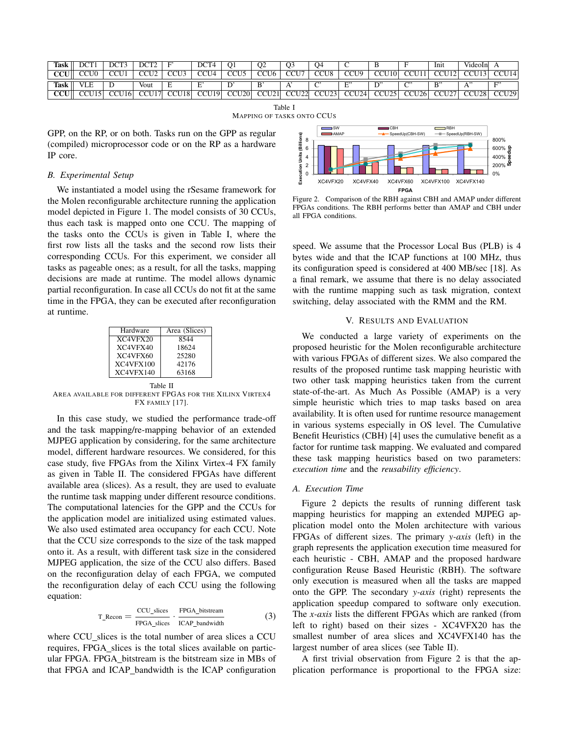| Task | DCT <sub>1</sub>  | DCT3              | DCT2              | $_{\rm F'}$       | DCT4              | Q1                | Q <sub>2</sub>    | Q3                | Q4               |                   | В                 |                   | Init              | VideoIn           | A                 |
|------|-------------------|-------------------|-------------------|-------------------|-------------------|-------------------|-------------------|-------------------|------------------|-------------------|-------------------|-------------------|-------------------|-------------------|-------------------|
| CCU  | CCU <sub>0</sub>  | CCU <sub>1</sub>  | CCU2              | CCU <sub>3</sub>  | CCU <sub>4</sub>  | CCU <sub>5</sub>  | CCU <sub>6</sub>  | CCU <sub>7</sub>  | CCU <sub>8</sub> | CCU <sub>9</sub>  | CCU <sub>10</sub> | CCU <sub>1</sub>  | CCU <sub>12</sub> | CCU <sub>13</sub> | CCU14             |
| Task | VLE               |                   | Vout              |                   | E                 |                   | B'                | A                 | $\mathbf{C}^*$   | Е"                | D''               | ددہ               | B''               | A"                | г"                |
| CCU  | CCU <sub>15</sub> | CCU <sub>16</sub> | CCU <sub>17</sub> | CCU <sub>18</sub> | CCU <sub>19</sub> | CCU <sub>20</sub> | CCU <sub>21</sub> | CCU <sub>22</sub> | CCU23            | CCU <sub>24</sub> | CCU <sub>25</sub> | CCU <sub>26</sub> | CCU <sub>27</sub> | CCU <sub>28</sub> | CCU <sub>29</sub> |

Table I MAPPING OF TASKS ONTO CCUS

GPP, on the RP, or on both. Tasks run on the GPP as regular (compiled) microprocessor code or on the RP as a hardware IP core.

#### *B. Experimental Setup*

We instantiated a model using the rSesame framework for the Molen reconfigurable architecture running the application model depicted in Figure 1. The model consists of 30 CCUs, thus each task is mapped onto one CCU. The mapping of the tasks onto the CCUs is given in Table I, where the first row lists all the tasks and the second row lists their corresponding CCUs. For this experiment, we consider all tasks as pageable ones; as a result, for all the tasks, mapping decisions are made at runtime. The model allows dynamic partial reconfiguration. In case all CCUs do not fit at the same time in the FPGA, they can be executed after reconfiguration at runtime.

| Hardware  | Area (Slices) |
|-----------|---------------|
| XC4VFX20  | 8544          |
| XC4VFX40  | 18624         |
| XC4VFX60  | 25280         |
| XC4VFX100 | 42176         |
| XC4VFX140 | 63168         |

Table II AREA AVAILABLE FOR DIFFERENT FPGAS FOR THE XILINX VIRTEX4 FX FAMILY [17].

In this case study, we studied the performance trade-off and the task mapping/re-mapping behavior of an extended MJPEG application by considering, for the same architecture model, different hardware resources. We considered, for this case study, five FPGAs from the Xilinx Virtex-4 FX family as given in Table II. The considered FPGAs have different available area (slices). As a result, they are used to evaluate the runtime task mapping under different resource conditions. The computational latencies for the GPP and the CCUs for the application model are initialized using estimated values. We also used estimated area occupancy for each CCU. Note that the CCU size corresponds to the size of the task mapped onto it. As a result, with different task size in the considered MJPEG application, the size of the CCU also differs. Based on the reconfiguration delay of each FPGA, we computed the reconfiguration delay of each CCU using the following equation:

$$
T_{\text{Recon}} = \frac{CU_{\text{slices}}}{FPGA_{\text{slices}}} \cdot \frac{FPGA_{\text{bistream}}}{ICAP_{\text{bandwidth}}} \tag{3}
$$

where CCU slices is the total number of area slices a CCU requires, FPGA\_slices is the total slices available on particular FPGA. FPGA bitstream is the bitstream size in MBs of that FPGA and ICAP bandwidth is the ICAP configuration



Figure 2. Comparison of the RBH against CBH and AMAP under different FPGAs conditions. The RBH performs better than AMAP and CBH under all FPGA conditions.

speed. We assume that the Processor Local Bus (PLB) is 4 bytes wide and that the ICAP functions at 100 MHz, thus its configuration speed is considered at 400 MB/sec [18]. As a final remark, we assume that there is no delay associated with the runtime mapping such as task migration, context switching, delay associated with the RMM and the RM.

# V. RESULTS AND EVALUATION

We conducted a large variety of experiments on the proposed heuristic for the Molen reconfigurable architecture with various FPGAs of different sizes. We also compared the results of the proposed runtime task mapping heuristic with two other task mapping heuristics taken from the current state-of-the-art. As Much As Possible (AMAP) is a very simple heuristic which tries to map tasks based on area availability. It is often used for runtime resource management in various systems especially in OS level. The Cumulative Benefit Heuristics (CBH) [4] uses the cumulative benefit as a factor for runtime task mapping. We evaluated and compared these task mapping heuristics based on two parameters: *execution time* and the *reusability efficiency*.

# *A. Execution Time*

Figure 2 depicts the results of running different task mapping heuristics for mapping an extended MJPEG application model onto the Molen architecture with various FPGAs of different sizes. The primary *y-axis* (left) in the graph represents the application execution time measured for each heuristic - CBH, AMAP and the proposed hardware configuration Reuse Based Heuristic (RBH). The software only execution is measured when all the tasks are mapped onto the GPP. The secondary *y-axis* (right) represents the application speedup compared to software only execution. The *x-axis* lists the different FPGAs which are ranked (from left to right) based on their sizes - XC4VFX20 has the smallest number of area slices and XC4VFX140 has the largest number of area slices (see Table II).

A first trivial observation from Figure 2 is that the application performance is proportional to the FPGA size: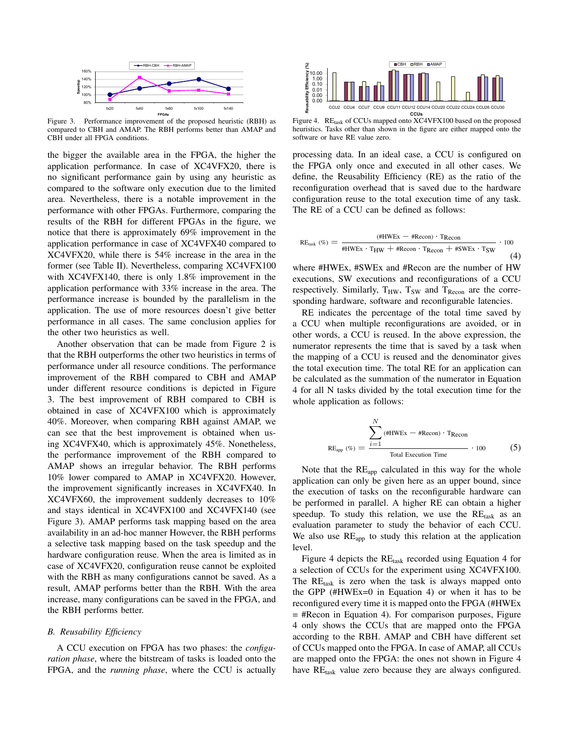

Figure 3. Performance improvement of the proposed heuristic (RBH) as compared to CBH and AMAP. The RBH performs better than AMAP and CBH under all FPGA conditions.

compared to the software only execution due to the limited no significant performance gain by using any heuristic as application performance. In case of XC4VFX20, there is the bigger the available area in the FPGA, the higher the area. Nevertheless, there is a notable improvement in the **Reusability**  າ<br>ະ with XC4VFX140, there is only 1.8% improvement in the former (see Table II). Nevertheless, comparing XC4VFX100 3 XC4VFX20, while there is 54% increase in the area in the application performance in case of XC4VFX40 compared to 5 notice that there is approximately 69% improvement in the application performance with  $33\%$  increase in the area. The performance increase is bounded by the parallelism in the **Reusability Efficiency (%** results of the RBH for different FPGAs in the figure, we performance with other FPGAs. Furthermore, comparing the application. The use of more resources doesn't give better performance in all cases. The same conclusion applies for the other two heuristics as well.

Another observation that can be made from Figure 2 is that the RBH outperforms the other two heuristics in terms of performance under all resource conditions. The performance improvement of the RBH compared to CBH and AMAP under different resource conditions is depicted in Figure 3. The best improvement of RBH compared to CBH is obtained in case of XC4VFX100 which is approximately 40%. Moreover, when comparing RBH against AMAP, we can see that the best improvement is obtained when using XC4VFX40, which is approximately 45%. Nonetheless, the performance improvement of the RBH compared to AMAP shows an irregular behavior. The RBH performs 10% lower compared to AMAP in XC4VFX20. However, the improvement significantly increases in XC4VFX40. In XC4VFX60, the improvement suddenly decreases to 10% and stays identical in XC4VFX100 and XC4VFX140 (see Figure 3). AMAP performs task mapping based on the area availability in an ad-hoc manner However, the RBH performs a selective task mapping based on the task speedup and the hardware configuration reuse. When the area is limited as in case of XC4VFX20, configuration reuse cannot be exploited with the RBH as many configurations cannot be saved. As a result, AMAP performs better than the RBH. With the area increase, many configurations can be saved in the FPGA, and the RBH performs better.

#### *B. Reusability Efficiency*

A CCU execution on FPGA has two phases: the *configuration phase*, where the bitstream of tasks is loaded onto the FPGA, and the *running phase*, where the CCU is actually



Figure 4. REtask of CCUs mapped onto XC4VFX100 based on the proposed heuristics. Tasks other than shown in the figure are either mapped onto the software or have RE value zero.

processing data. In an ideal case, a CCU is configured on the FPGA only once and executed in all other cases. We define, the Reusability Efficiency (RE) as the ratio of the reconfiguration overhead that is saved due to the hardware configuration reuse to the total execution time of any task. The RE of a CCU can be defined as follows:

RE<sub>task</sub> (
$$
\%
$$
) =  $\frac{(\#HWEx - \#Recon) \cdot T_{Recon}}{\#HWEx \cdot T_{HW} + \#Recon \cdot T_{Recon} + \#SWEx \cdot T_{SW}} \cdot 100$  (4)

where #HWEx, #SWEx and #Recon are the number of HW executions, SW executions and reconfigurations of a CCU respectively. Similarly,  $T_{HW}$ ,  $T_{SW}$  and  $T_{Recon}$  are the corresponding hardware, software and reconfigurable latencies.

RE indicates the percentage of the total time saved by a CCU when multiple reconfigurations are avoided, or in other words, a CCU is reused. In the above expression, the numerator represents the time that is saved by a task when the mapping of a CCU is reused and the denominator gives the total execution time. The total RE for an application can be calculated as the summation of the numerator in Equation 4 for all N tasks divided by the total execution time for the whole application as follows:

RE<sub>app</sub> (%) = 
$$
\frac{\sum_{i=1}^{N} (\text{#HWEx} - \text{#Recon} \cdot \text{T}_{\text{Recon}})}{\text{Total Execution Time}} \cdot 100
$$
 (5)

Note that the  $RE_{app}$  calculated in this way for the whole application can only be given here as an upper bound, since the execution of tasks on the reconfigurable hardware can be performed in parallel. A higher RE can obtain a higher speedup. To study this relation, we use the  $RE$ <sub>task</sub> as an evaluation parameter to study the behavior of each CCU. We also use  $RE_{app}$  to study this relation at the application level.

Figure 4 depicts the  $RE$ <sub>task</sub> recorded using Equation 4 for a selection of CCUs for the experiment using XC4VFX100. The  $RE$ <sub>task</sub> is zero when the task is always mapped onto the GPP (#HWEx=0 in Equation 4) or when it has to be reconfigured every time it is mapped onto the FPGA (#HWEx = #Recon in Equation 4). For comparison purposes, Figure 4 only shows the CCUs that are mapped onto the FPGA according to the RBH. AMAP and CBH have different set of CCUs mapped onto the FPGA. In case of AMAP, all CCUs are mapped onto the FPGA: the ones not shown in Figure 4 have  $RE_{task}$  value zero because they are always configured.